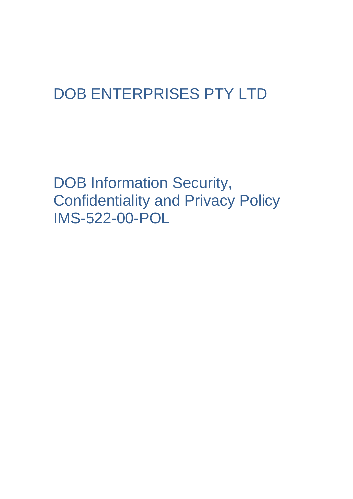# DOB ENTERPRISES PTY LTD

DOB Information Security, Confidentiality and Privacy Policy IMS-522-00-POL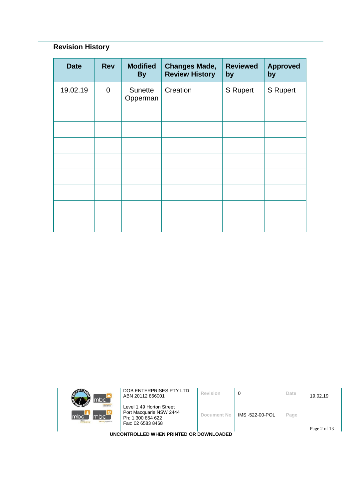# **Revision History**

| <b>Date</b> | <b>Rev</b>  | <b>Modified</b><br><b>By</b> | <b>Changes Made,</b><br><b>Review History</b> | <b>Reviewed</b><br>by | <b>Approved</b><br>by |
|-------------|-------------|------------------------------|-----------------------------------------------|-----------------------|-----------------------|
| 19.02.19    | $\mathbf 0$ | Sunette<br>Opperman          | Creation                                      | <b>S</b> Rupert       | <b>S</b> Rupert       |
|             |             |                              |                                               |                       |                       |
|             |             |                              |                                               |                       |                       |
|             |             |                              |                                               |                       |                       |
|             |             |                              |                                               |                       |                       |
|             |             |                              |                                               |                       |                       |
|             |             |                              |                                               |                       |                       |
|             |             |                              |                                               |                       |                       |
|             |             |                              |                                               |                       |                       |

| mbc <sup>-</sup>                                            | DOB ENTERPRISES PTY LTD<br>ABN 20112 866001                                                   | Revision    | 0               | Date | 19.02.19     |
|-------------------------------------------------------------|-----------------------------------------------------------------------------------------------|-------------|-----------------|------|--------------|
| <b>Icloour hire</b><br>mbc`<br>mbc<br>mtc<br>sursing agency | Level 1 49 Horton Street<br>Port Macquarie NSW 2444<br>Ph: 1 300 854 622<br>Fax: 02 6583 8468 | Document No | IMS -522-00-POL | Page |              |
|                                                             | UNCONTROLLED WHEN PRINTED OR DOWNLOADED                                                       |             |                 |      | Page 2 of 13 |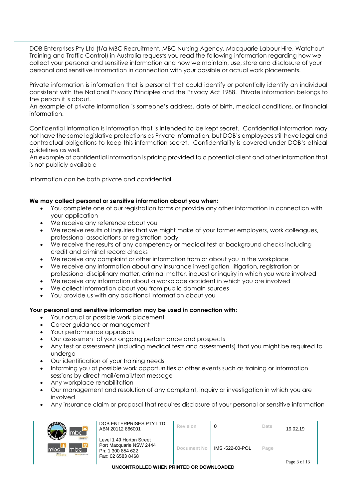DOB Enterprises Pty Ltd (t/a MBC Recruitment, MBC Nursing Agency, Macquarie Labour Hire, Watchout Training and Traffic Control) in Australia requests you read the following information regarding how we collect your personal and sensitive information and how we maintain, use, store and disclosure of your personal and sensitive information in connection with your possible or actual work placements.

Private information is information that is personal that could identify or potentially identify an individual consistent with the National Privacy Principles and the Privacy Act 1988. Private information belongs to the person it is about.

An example of private information is someone's address, date of birth, medical conditions, or financial information.

Confidential information is information that is intended to be kept secret. Confidential information may not have the same legislative protections as Private Information, but DOB's employees still have legal and contractual obligations to keep this information secret. Confidentiality is covered under DOB's ethical guidelines as well.

An example of confidential information is pricing provided to a potential client and other information that is not publicly available

Information can be both private and confidential.

#### **We may collect personal or sensitive information about you when:**

- You complete one of our registration forms or provide any other information in connection with your application
- We receive any reference about you
- We receive results of inquiries that we might make of your former employers, work colleagues, professional associations or registration body
- We receive the results of any competency or medical test or background checks including credit and criminal record checks
- We receive any complaint or other information from or about you in the workplace
- We receive any information about any insurance investigation, litigation, registration or
- professional disciplinary matter, criminal matter, inquest or inquiry in which you were involved
- We receive any information about a workplace accident in which you are involved
- We collect information about you from public domain sources
- You provide us with any additional information about you

#### **Your personal and sensitive information may be used in connection with:**

- Your actual or possible work placement
- Career auidance or management
- Your performance appraisals
- Our assessment of your ongoing performance and prospects
- Any test or assessment (including medical tests and assessments) that you might be required to undergo
- Our identification of your training needs
- Informing you of possible work opportunities or other events such as training or information sessions by direct mail/email/text message
- Any workplace rehabilitation
- Our management and resolution of any complaint, inquiry or investigation in which you are involved
- Any insurance claim or proposal that requires disclosure of your personal or sensitive information

| mbc                                              | DOB ENTERPRISES PTY LTD<br>ABN 20112 866001                                                   | Revision    |                 | Date | 19.02.19     |
|--------------------------------------------------|-----------------------------------------------------------------------------------------------|-------------|-----------------|------|--------------|
| <b>Indequant</b><br>mbc<br><b>TUrsing agency</b> | Level 1 49 Horton Street<br>Port Macquarie NSW 2444<br>Ph: 1 300 854 622<br>Fax: 02 6583 8468 | Document No | IMS -522-00-POL | Page | Page 3 of 13 |
|                                                  | UNCONTROLLED WHEN PRINTED OR DOWNLOADED                                                       |             |                 |      |              |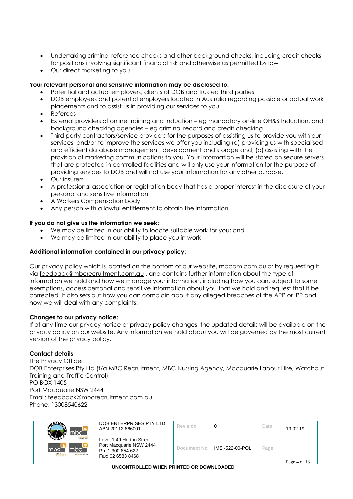- Undertaking criminal reference checks and other background checks, including credit checks for positions involving significant financial risk and otherwise as permitted by law
- Our direct marketing to you

#### **Your relevant personal and sensitive information may be disclosed to:**

- Potential and actual employers, clients of DOB and trusted third parties
- DOB employees and potential employers located in Australia regarding possible or actual work placements and to assist us in providing our services to you
- Referees
- External providers of online training and induction eg mandatory on-line OH&S Induction, and background checking agencies – eg criminal record and credit checking
- Third party contractors/service providers for the purposes of assisting us to provide you with our services, and/or to improve the services we offer you including (a) providing us with specialised and efficient database management, development and storage and, (b) assisting with the provision of marketing communications to you. Your information will be stored on secure servers that are protected in controlled facilities and will only use your information for the purpose of providing services to DOB and will not use your information for any other purpose.
- Our insurers
- A professional association or registration body that has a proper interest in the disclosure of your personal and sensitive information
- A Workers Compensation body
- Any person with a lawful entitlement to obtain the information

#### **If you do not give us the information we seek:**

- We may be limited in our ability to locate suitable work for you; and
- We may be limited in our ability to place you in work

#### **Additional information contained in our privacy policy:**

Our privacy policy which is located on the bottom of our website, mbcpm.com.au or by requesting it via [feedback@mbcrecruitment.com.au](mailto:feedback@mbcrecruitment.com.au) , and contains further information about the type of information we hold and how we manage your information, including how you can, subject to some exemptions, access personal and sensitive information about you that we hold and request that it be corrected. It also sets out how you can complain about any alleged breaches of the APP or IPP and how we will deal with any complaints.

#### **Changes to our privacy notice:**

If at any time our privacy notice or privacy policy changes, the updated details will be available on the privacy policy on our website. Any information we hold about you will be governed by the most current version of the privacy policy.

#### **Contact details**

The Privacy Officer DOB Enterprises Pty Ltd (t/a MBC Recruitment, MBC Nursing Agency, Macquarie Labour Hire, Watchout Training and Traffic Control) PO BOX 1405 Port Macquarie NSW 2444 Email: [feedback@mbcrecruitment.com.au](mailto:feedback@mbcrecruitment.com.au) Phone: 13008540622

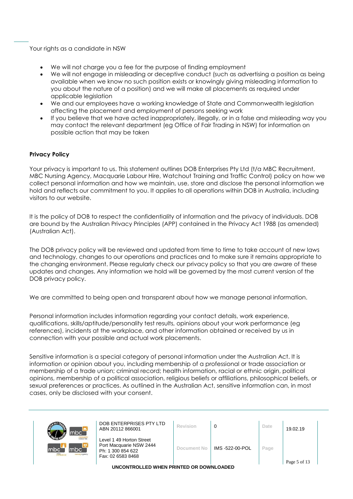Your rights as a candidate in NSW

- We will not charge you a fee for the purpose of finding employment
- We will not engage in misleading or deceptive conduct (such as advertising a position as being available when we know no such position exists or knowingly giving misleading information to you about the nature of a position) and we will make all placements as required under applicable legislation
- We and our employees have a working knowledge of State and Commonwealth legislation affecting the placement and employment of persons seeking work
- If you believe that we have acted inappropriately, illegally, or in a false and misleading way you may contact the relevant department (eg Office of Fair Trading in NSW) for information on possible action that may be taken

#### **Privacy Policy**

Your privacy is important to us. This statement outlines DOB Enterprises Pty Ltd (t/a MBC Recruitment, MBC Nursing Agency, Macquarie Labour Hire, Watchout Training and Traffic Control) policy on how we collect personal information and how we maintain, use, store and disclose the personal information we hold and reflects our commitment to you. It applies to all operations within DOB in Australia, including visitors to our website.

It is the policy of DOB to respect the confidentiality of information and the privacy of individuals. DOB are bound by the Australian Privacy Principles (APP) contained in the Privacy Act 1988 (as amended) (Australian Act).

The DOB privacy policy will be reviewed and updated from time to time to take account of new laws and technology, changes to our operations and practices and to make sure it remains appropriate to the changing environment. Please regularly check our privacy policy so that you are aware of these updates and changes. Any information we hold will be governed by the most current version of the DOB privacy policy.

We are committed to being open and transparent about how we manage personal information.

Personal information includes information regarding your contact details, work experience, qualifications, skills/aptitude/personality test results, opinions about your work performance (eg references), incidents at the workplace, and other information obtained or received by us in connection with your possible and actual work placements.

Sensitive information is a special category of personal information under the Australian Act. It is information or opinion about you, including membership of a professional or trade association or membership of a trade union; criminal record; health information, racial or ethnic origin, political opinions, membership of a political association, religious beliefs or affiliations, philosophical beliefs, or sexual preferences or practices. As outlined in the Australian Act, sensitive information can, in most cases, only be disclosed with your consent.

| mbc <sup>-</sup>                                      | DOB ENTERPRISES PTY LTD<br>ABN 20112 866001                                                   | Revision    |                | Date | 19.02.19     |  |
|-------------------------------------------------------|-----------------------------------------------------------------------------------------------|-------------|----------------|------|--------------|--|
| <b>Icloour hire</b><br>mbc<br>lmbc.<br>sursing agency | Level 1 49 Horton Street<br>Port Macquarie NSW 2444<br>Ph: 1 300 854 622<br>Fax: 02 6583 8468 | Document No | IMS-522-00-POL | Page |              |  |
|                                                       |                                                                                               |             |                |      | Page 5 of 13 |  |
|                                                       | UNCONTROLLED WHEN PRINTED OR DOWNLOADED.                                                      |             |                |      |              |  |

**UNCONTROL**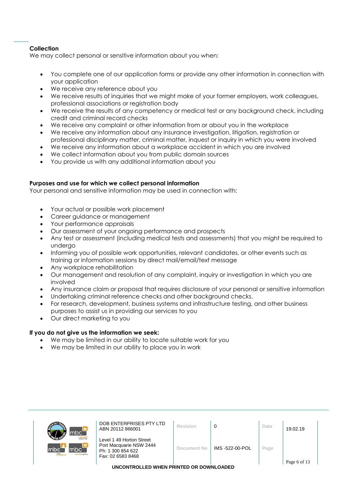#### **Collection**

We may collect personal or sensitive information about you when:

- You complete one of our application forms or provide any other information in connection with your application
- We receive any reference about you
- We receive results of inquiries that we might make of your former employers, work colleagues, professional associations or registration body
- We receive the results of any competency or medical test or any background check, including credit and criminal record checks
- We receive any complaint or other information from or about you in the workplace
- We receive any information about any insurance investigation, litigation, registration or professional disciplinary matter, criminal matter, inquest or inquiry in which you were involved
- We receive any information about a workplace accident in which you are involved
- We collect information about you from public domain sources
- You provide us with any additional information about you

#### **Purposes and use for which we collect personal information**

Your personal and sensitive information may be used in connection with:

- Your actual or possible work placement
- Career auidance or management
- Your performance appraisals
- Our assessment of your ongoing performance and prospects
- Any test or assessment (including medical tests and assessments) that you might be required to undergo
- Informing you of possible work opportunities, relevant candidates, or other events such as training or information sessions by direct mail/email/text message
- Any workplace rehabilitation
- Our management and resolution of any complaint, inquiry or investigation in which you are involved
- Any insurance claim or proposal that requires disclosure of your personal or sensitive information
- Undertaking criminal reference checks and other background checks.
- For research, development, business systems and infrastructure testing, and other business purposes to assist us in providing our services to you
- Our direct marketing to you

#### **If you do not give us the information we seek:**

- We may be limited in our ability to locate suitable work for you
- We may be limited in our ability to place you in work



| $\mathsf{c}$                                       | DOB ENTERPRISES PTY LTD<br>ABN 20112 866001                                                   | Revision    |                 | Date | 19.02.19     |  |
|----------------------------------------------------|-----------------------------------------------------------------------------------------------|-------------|-----------------|------|--------------|--|
| <b>Inhour hire</b><br>$\mathsf{C}^-$<br>inc agency | Level 1 49 Horton Street<br>Port Macquarie NSW 2444<br>Ph: 1 300 854 622<br>Fax: 02 6583 8468 | Document No | IMS -522-00-POL | Page | Page 6 of 13 |  |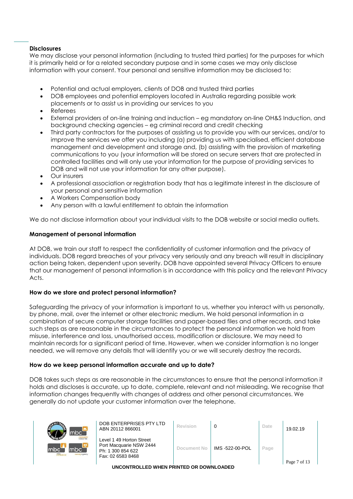#### **Disclosures**

We may disclose your personal information (including to trusted third parties) for the purposes for which it is primarily held or for a related secondary purpose and in some cases we may only disclose information with your consent. Your personal and sensitive information may be disclosed to:

- Potential and actual employers, clients of DOB and trusted third parties
- DOB employees and potential employers located in Australia regarding possible work
- placements or to assist us in providing our services to you
- Referees
- External providers of on-line training and induction eg mandatory on-line OH&S Induction, and background checking agencies – eg criminal record and credit checking
- Third party contractors for the purposes of assisting us to provide you with our services, and/or to improve the services we offer you including (a) providing us with specialised, efficient database management and development and storage and, (b) assisting with the provision of marketing communications to you (your information will be stored on secure servers that are protected in controlled facilities and will only use your information for the purpose of providing services to DOB and will not use your information for any other purpose).
- Our insurers
- A professional association or registration body that has a legitimate interest in the disclosure of your personal and sensitive information
- A Workers Compensation body
- Any person with a lawful entitlement to obtain the information

We do not disclose information about your individual visits to the DOB website or social media outlets.

#### **Management of personal information**

At DOB, we train our staff to respect the confidentiality of customer information and the privacy of individuals. DOB regard breaches of your privacy very seriously and any breach will result in disciplinary action being taken, dependent upon severity. DOB have appointed several Privacy Officers to ensure that our management of personal information is in accordance with this policy and the relevant Privacy Acts.

#### **How do we store and protect personal information?**

Safeguarding the privacy of your information is important to us, whether you interact with us personally, by phone, mail, over the internet or other electronic medium. We hold personal information in a combination of secure computer storage facilities and paper-based files and other records, and take such steps as are reasonable in the circumstances to protect the personal information we hold from misuse, interference and loss, unauthorised access, modification or disclosure. We may need to maintain records for a significant period of time. However, when we consider information is no longer needed, we will remove any details that will identify you or we will securely destroy the records.

#### **How do we keep personal information accurate and up to date?**

DOB takes such steps as are reasonable in the circumstances to ensure that the personal information it holds and discloses is accurate, up to date, complete, relevant and not misleading. We recognise that information changes frequently with changes of address and other personal circumstances. We generally do not update your customer information over the telephone.

| ß<br>mbc`                                             | DOB ENTERPRISES PTY LTD<br>ABN 20112 866001                                                   | Revision    |                 | Date | 19.02.19     |
|-------------------------------------------------------|-----------------------------------------------------------------------------------------------|-------------|-----------------|------|--------------|
| <b>Icloour hine</b><br>mbc`<br>Imbc<br>tursing agency | Level 1 49 Horton Street<br>Port Macquarie NSW 2444<br>Ph: 1 300 854 622<br>Fax: 02 6583 8468 | Document No | IMS -522-00-POL | Page | Page 7 of 13 |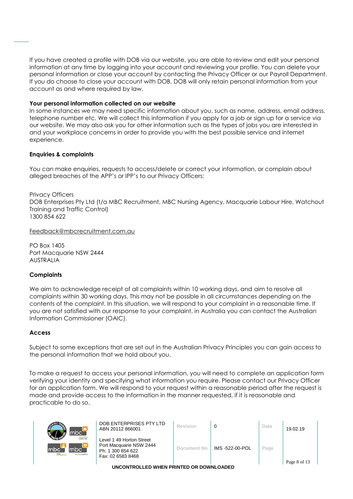If you have created a profile with DOB via our website, you are able to review and edit your personal information at any time by logging into your account and reviewing your profile. You can delete your personal information or close your account by contacting the Privacy Officer or our Payroll Department. If you do choose to close your account with DOB, DOB will only retain personal information from your account as and where required by law.

#### **Your personal information collected on our website**

In some instances we may need specific information about you, such as name, address, email address, telephone number etc. We will collect this information if you apply for a job or sign up for a service via our website. We may also ask you for other information such as the types of jobs you are interested in and your workplace concerns in order to provide you with the best possible service and internet experience.

#### **Enquiries & complaints**

You can make enquiries, requests to access/delete or correct your information, or complain about alleged breaches of the APP's or IPP's to our Privacy Officers:

Privacy Officers DOB Enterprises Pty Ltd (t/a MBC Recruitment, MBC Nursing Agency, Macquarie Labour Hire, Watchout Training and Traffic Control) 1300 854 622

[Feedback@mbcrecruitment.com.au](mailto:Feedback@mbcrecruitment.com.au)

PO Box 1405 Port Macquarie NSW 2444 AUSTRALIA

#### **Complaints**

We aim to acknowledge receipt of all complaints within 10 working days, and aim to resolve all complaints within 30 working days. This may not be possible in all circumstances depending on the contents of the complaint. In this situation, we will respond to your complaint in a reasonable time. If you are not satisfied with our response to your complaint, in Australia you can contact the Australian Information Commissioner (OAIC).

#### **Access**

Subject to some exceptions that are set out in the Australian Privacy Principles you can gain access to the personal information that we hold about you.

To make a request to access your personal information, you will need to complete an application form verifying your identity and specifying what information you require. Please contact our Privacy Officer for an application form. We will respond to your request within a reasonable period after the request is made and provide access to the information in the manner requested, if it is reasonable and practicable to do so.

| mbc`                                                       | DOB ENTERPRISES PTY LTD<br>ABN 20112 866001                                                   | Revision    |                 | Date | 19.02.19     |
|------------------------------------------------------------|-----------------------------------------------------------------------------------------------|-------------|-----------------|------|--------------|
| <b>Inbour hire</b><br>mbc<br>mbc`<br>mte<br>sursing agency | Level 1 49 Horton Street<br>Port Macquarie NSW 2444<br>Ph: 1 300 854 622<br>Fax: 02 6583 8468 | Document No | IMS -522-00-POL | Page | Page 8 of 13 |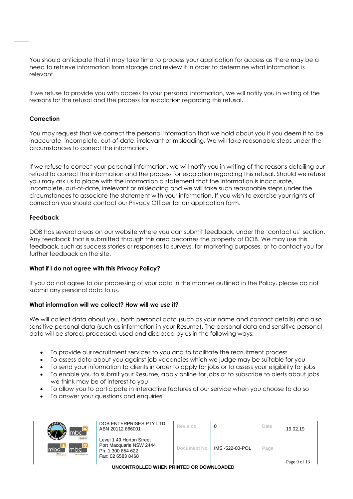You should anticipate that it may take time to process your application for access as there may be a need to retrieve information from storage and review it in order to determine what information is relevant.

If we refuse to provide you with access to your personal information, we will notify you in writing of the reasons for the refusal and the process for escalation regarding this refusal.

#### **Correction**

You may request that we correct the personal information that we hold about you if you deem it to be inaccurate, incomplete, out-of-date, irrelevant or misleading. We will take reasonable steps under the circumstances to correct the information.

If we refuse to correct your personal information, we will notify you in writing of the reasons detailing our refusal to correct the information and the process for escalation regarding this refusal. Should we refuse you may ask us to place with the information a statement that the information is inaccurate, incomplete, out-of-date, irrelevant or misleading and we will take such reasonable steps under the circumstances to associate the statement with your information. If you wish to exercise your rights of correction you should contact our Privacy Officer for an application form.

#### **Feedback**

DOB has several areas on our website where you can submit feedback, under the 'contact us' section. Any feedback that is submitted through this area becomes the property of DOB. We may use this feedback, such as success stories or responses to surveys, for marketing purposes, or to contact you for further feedback on the site.

#### **What if I do not agree with this Privacy Policy?**

If you do not agree to our processing of your data in the manner outlined in the Policy, please do not submit any personal data to us.

#### **What information will we collect? How will we use it?**

We will collect data about you, both personal data (such as your name and contact details) and also sensitive personal data (such as information in your Resume). The personal data and sensitive personal data will be stored, processed, used and disclosed by us in the following ways:

- To provide our recruitment services to you and to facilitate the recruitment process
- To assess data about you against job vacancies which we judge may be suitable for you
- To send your information to clients in order to apply for jobs or to assess your eligibility for jobs
- To enable you to submit your Resume, apply online for jobs or to subscribe to alerts about jobs we think may be of interest to you
- To allow you to participate in interactive features of our service when you choose to do so
- To answer your questions and enquiries

| <b>GUT7</b><br>mbc`                                                     | DOB ENTERPRISES PTY LTD<br>ABN 20112 866001                                                   | Revision    | -0              | Date | 19.02.19     |
|-------------------------------------------------------------------------|-----------------------------------------------------------------------------------------------|-------------|-----------------|------|--------------|
| <b>Icloour hine</b><br>mbc<br>mbc`<br>m <sub>te</sub><br>sursing agency | Level 1 49 Horton Street<br>Port Macquarie NSW 2444<br>Ph: 1 300 854 622<br>Fax: 02 6583 8468 | Document No | IMS -522-00-POL | Page | Page 9 of 13 |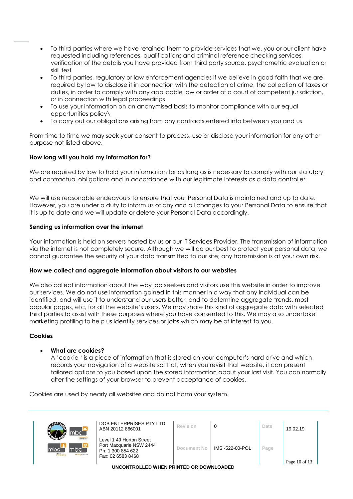- To third parties where we have retained them to provide services that we, you or our client have requested including references, qualifications and criminal reference checking services, verification of the details you have provided from third party source, psychometric evaluation or skill test
- To third parties, regulatory or law enforcement agencies if we believe in good faith that we are required by law to disclose it in connection with the detection of crime, the collection of taxes or duties, in order to comply with any applicable law or order of a court of competent jurisdiction, or in connection with legal proceedings
- To use your information on an anonymised basis to monitor compliance with our equal opportunities policy\
- To carry out our obligations arising from any contracts entered into between you and us

From time to time we may seek your consent to process, use or disclose your information for any other purpose not listed above.

## **How long will you hold my information for?**

We are required by law to hold your information for as long as is necessary to comply with our statutory and contractual obligations and in accordance with our legitimate interests as a data controller.

We will use reasonable endeavours to ensure that your Personal Data is maintained and up to date. However, you are under a duty to inform us of any and all changes to your Personal Data to ensure that it is up to date and we will update or delete your Personal Data accordingly.

## **Sending us information over the internet**

Your information is held on servers hosted by us or our IT Services Provider. The transmission of information via the internet is not completely secure. Although we will do our best to protect your personal data, we cannot guarantee the security of your data transmitted to our site; any transmission is at your own risk.

#### **How we collect and aggregate information about visitors to our websites**

We also collect information about the way job seekers and visitors use this website in order to improve our services. We do not use information gained in this manner in a way that any individual can be identified, and will use it to understand our users better, and to determine aggregate trends, most popular pages, etc, for all the website's users. We may share this kind of aggregate data with selected third parties to assist with these purposes where you have consented to this. We may also undertake marketing profiling to help us identify services or jobs which may be of interest to you.

#### **Cookies**

## • **What are cookies?**

A 'cookie ' is a piece of information that is stored on your computer's hard drive and which records your navigation of a website so that, when you revisit that website, it can present tailored options to you based upon the stored information about your last visit. You can normally alter the settings of your browser to prevent acceptance of cookies.

Cookies are used by nearly all websites and do not harm your system.

| mbc <sup>-</sup>                                     | DOB ENTERPRISES PTY LTD<br>ABN 20112 866001                                                   | Revision    |                | Date | 19.02.19          |
|------------------------------------------------------|-----------------------------------------------------------------------------------------------|-------------|----------------|------|-------------------|
| Icloour hire<br>mbc<br>mbc`<br>mtc<br>sursing agency | Level 1 49 Horton Street<br>Port Macquarie NSW 2444<br>Ph: 1 300 854 622<br>Fax: 02 6583 8468 | Document No | IMS-522-00-POL | Page |                   |
|                                                      | UNCONTROLLED WHEN PRINTED OR DOWNLOADED                                                       |             |                |      | Page $10$ of $13$ |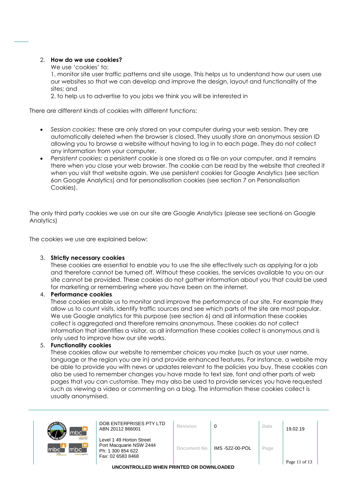#### 2. **How do we use cookies?**

We use 'cookies' to:

1. monitor site user traffic patterns and site usage. This helps us to understand how our users use our websites so that we can develop and improve the design, layout and functionality of the sites; and

2. to help us to advertise to you jobs we think you will be interested in

There are different kinds of cookies with different functions:

- *Session cookies:* these are only stored on your computer during your web session. They are automatically deleted when the browser is closed. They usually store an anonymous session ID allowing you to browse a website without having to log in to each page. They do not collect any information from your computer.
- *Persistent cookies:* a persistent cookie is one stored as a file on your computer, and it remains there when you close your web browser. The cookie can be read by the website that created it when you visit that website again. We use persistent cookies for Google Analytics (see section 6on Google Analytics) and for personalisation cookies (see section 7 on Personalisation Cookies).

The only third party cookies we use on our site are Google Analytics (please see section6 on Google Analytics)

The cookies we use are explained below:

#### 3. **Strictly necessary cookies**

These cookies are essential to enable you to use the site effectively such as applying for a job and therefore cannot be turned off. Without these cookies, the services available to you on our site cannot be provided. These cookies do not gather information about you that could be used for marketing or remembering where you have been on the internet.

#### 4. **Performance cookies**

These cookies enable us to monitor and improve the performance of our site. For example they allow us to count visits, identify traffic sources and see which parts of the site are most popular. We use Google analytics for this purpose (see section 6) and all information these cookies collect is aggregated and therefore remains anonymous. These cookies do not collect information that identifies a visitor, as all information these cookies collect is anonymous and is only used to improve how our site works.

#### 5. **Functionality cookies**

These cookies allow our website to remember choices you make (such as your user name, language or the region you are in) and provide enhanced features. For instance, a website may be able to provide you with news or updates relevant to the policies you buy. These cookies can also be used to remember changes you have made to text size, font and other parts of web pages that you can customise. They may also be used to provide services you have requested such as viewing a video or commenting on a blog. The information these cookies collect is usually anonymised.

| mbc`                                                | DOB ENTERPRISES PTY LTD<br>ABN 20112 866001                                                   | Revision    | $\Omega$        | Date | 19.02.19        |  |
|-----------------------------------------------------|-----------------------------------------------------------------------------------------------|-------------|-----------------|------|-----------------|--|
| <b>Jobour hire</b><br>mbc`<br>mbc<br>sursing agency | Level 1 49 Horton Street<br>Port Macquarie NSW 2444<br>Ph: 1 300 854 622<br>Fax: 02 6583 8468 | Document No | IMS -522-00-POL | Page | Page 11 of $13$ |  |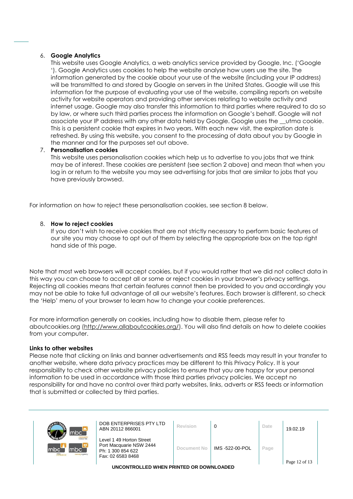#### 6. **Google Analytics**

This website uses Google Analytics, a web analytics service provided by Google, Inc. ('Google '). Google Analytics uses cookies to help the website analyse how users use the site. The information generated by the cookie about your use of the website (including your IP address) will be transmitted to and stored by Google on servers in the United States. Google will use this information for the purpose of evaluating your use of the website, compiling reports on website activity for website operators and providing other services relating to website activity and internet usage. Google may also transfer this information to third parties where required to do so by law, or where such third parties process the information on Google's behalf. Google will not associate your IP address with any other data held by Google. Google uses the \_\_utma cookie. This is a persistent cookie that expires in two years. With each new visit, the expiration date is refreshed. By using this website, you consent to the processing of data about you by Google in the manner and for the purposes set out above.

#### 7. **Personalisation cookies**

This website uses personalisation cookies which help us to advertise to you jobs that we think may be of interest. These cookies are persistent (see section 2 above) and mean that when you log in or return to the website you may see advertising for jobs that are similar to jobs that you have previously browsed.

For information on how to reject these personalisation cookies, see section 8 below.

#### 8. **How to reject cookies**

If you don't wish to receive cookies that are not strictly necessary to perform basic features of our site you may choose to opt out of them by selecting the appropriate box on the top right hand side of this page.

Note that most web browsers will accept cookies, but if you would rather that we did not collect data in this way you can choose to accept all or some or reject cookies in your browser's privacy settings. Rejecting all cookies means that certain features cannot then be provided to you and accordingly you may not be able to take full advantage of all our website's features. Each browser is different, so check the 'Help' menu of your browser to learn how to change your cookie preferences.

For more information generally on cookies, including how to disable them, please refer to aboutcookies.org [\(http://www.allaboutcookies.org/\)](http://www.allaboutcookies.org/). You will also find details on how to delete cookies from your computer.

#### **Links to other websites**

Please note that clicking on links and banner advertisements and RSS feeds may result in your transfer to another website, where data privacy practices may be different to this Privacy Policy. It is your responsibility to check other website privacy policies to ensure that you are happy for your personal information to be used in accordance with those third parties privacy policies. We accept no responsibility for and have no control over third party websites, links, adverts or RSS feeds or information that is submitted or collected by third parties.

| đ<br>mbc`                                                                       | DOB ENTERPRISES PTY LTD<br>ABN 20112 866001                                                   | Revision    | 0              | Date | 19.02.19      |
|---------------------------------------------------------------------------------|-----------------------------------------------------------------------------------------------|-------------|----------------|------|---------------|
| <b>Icloour hire</b><br>mbc <sup>-</sup><br><b>Imbc</b><br><b>TUrsing agency</b> | Level 1 49 Horton Street<br>Port Macquarie NSW 2444<br>Ph: 1 300 854 622<br>Fax: 02 6583 8468 | Document No | IMS-522-00-POL | Page | Page 12 of 13 |